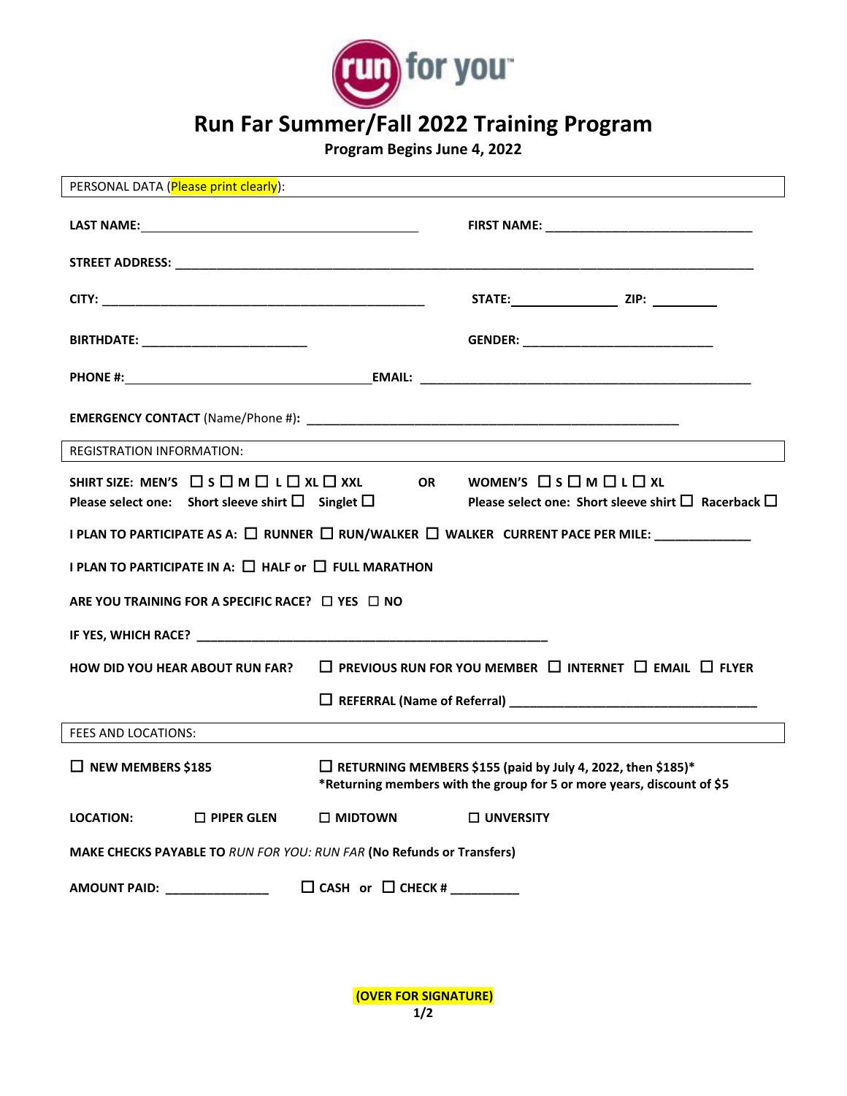

## **Run Far Summer/Fall 2022 Training Program**

**Program Begins June 4, 2022**

| PERSONAL DATA (Please print clearly):                                                                                                                                                                                               |                               |                                                                                                                                              |  |  |
|-------------------------------------------------------------------------------------------------------------------------------------------------------------------------------------------------------------------------------------|-------------------------------|----------------------------------------------------------------------------------------------------------------------------------------------|--|--|
|                                                                                                                                                                                                                                     |                               |                                                                                                                                              |  |  |
|                                                                                                                                                                                                                                     |                               |                                                                                                                                              |  |  |
|                                                                                                                                                                                                                                     |                               |                                                                                                                                              |  |  |
| <b>BIRTHDATE:</b> _____________________________                                                                                                                                                                                     |                               |                                                                                                                                              |  |  |
|                                                                                                                                                                                                                                     |                               |                                                                                                                                              |  |  |
|                                                                                                                                                                                                                                     |                               |                                                                                                                                              |  |  |
| <b>REGISTRATION INFORMATION:</b>                                                                                                                                                                                                    |                               |                                                                                                                                              |  |  |
| SHIRT SIZE: MEN'S $\Box$ S $\Box$ M $\Box$ L $\Box$ XL $\Box$ XXL<br>Please select one: Short sleeve shirt $\Box$ Singlet $\Box$                                                                                                    |                               | WOMEN'S <b>OSOMOLOXL</b><br><b>OR</b><br>Please select one: Short sleeve shirt $\square$ Racerback $\square$                                 |  |  |
| I PLAN TO PARTICIPATE AS A: $\Box$ RUNNER $\Box$ RUN/WALKER $\Box$ WALKER CURRENT PACE PER MILE:                                                                                                                                    |                               |                                                                                                                                              |  |  |
| I PLAN TO PARTICIPATE IN A: $\square$ HALF or $\square$ FULL MARATHON                                                                                                                                                               |                               |                                                                                                                                              |  |  |
| ARE YOU TRAINING FOR A SPECIFIC RACE? $\Box$ YES $\Box$ NO                                                                                                                                                                          |                               |                                                                                                                                              |  |  |
|                                                                                                                                                                                                                                     |                               |                                                                                                                                              |  |  |
| <b>HOW DID YOU HEAR ABOUT RUN FAR?</b>                                                                                                                                                                                              |                               | $\Box$ PREVIOUS RUN FOR YOU MEMBER $\Box$ INTERNET $\Box$ EMAIL $\Box$ FLYER                                                                 |  |  |
|                                                                                                                                                                                                                                     |                               |                                                                                                                                              |  |  |
| FEES AND LOCATIONS:                                                                                                                                                                                                                 |                               |                                                                                                                                              |  |  |
| $\Box$ NEW MEMBERS \$185                                                                                                                                                                                                            |                               | $\Box$ RETURNING MEMBERS \$155 (paid by July 4, 2022, then \$185)*<br>*Returning members with the group for 5 or more years, discount of \$5 |  |  |
| $\square$ PIPER GLEN<br><b>LOCATION:</b>                                                                                                                                                                                            | □ MIDTOWN                     | <b>UNVERSITY</b>                                                                                                                             |  |  |
| MAKE CHECKS PAYABLE TO RUN FOR YOU: RUN FAR (No Refunds or Transfers)                                                                                                                                                               |                               |                                                                                                                                              |  |  |
| <b>AMOUNT PAID:</b> NOTE AND THE STATE OF THE STATE OF THE STATE OF THE STATE OF THE STATE OF THE STATE OF THE STATE OF THE STATE OF THE STATE OF THE STATE OF THE STATE OF THE STATE OF THE STATE OF THE STATE OF THE STATE OF THE | $\Box$ CASH or $\Box$ CHECK # |                                                                                                                                              |  |  |